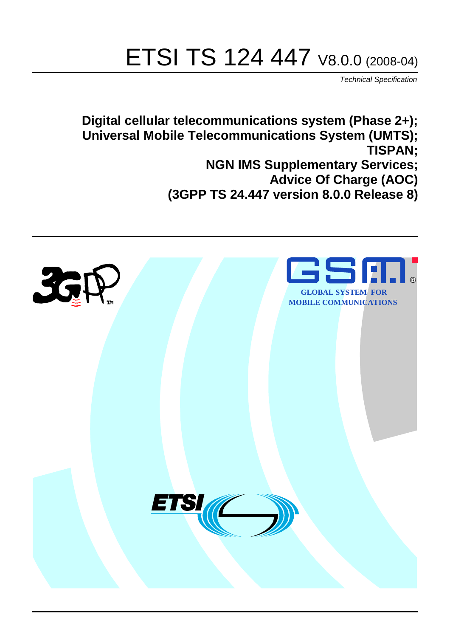# ETSI TS 124 447 V8.0.0 (2008-04)

*Technical Specification*

**Digital cellular telecommunications system (Phase 2+); Universal Mobile Telecommunications System (UMTS); TISPAN; NGN IMS Supplementary Services; Advice Of Charge (AOC) (3GPP TS 24.447 version 8.0.0 Release 8)**

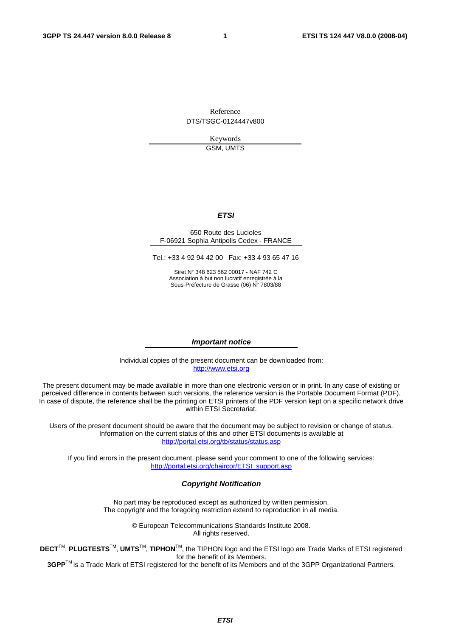Reference

DTS/TSGC-0124447v800

Keywords GSM, UMTS

#### *ETSI*

#### 650 Route des Lucioles F-06921 Sophia Antipolis Cedex - FRANCE

Tel.: +33 4 92 94 42 00 Fax: +33 4 93 65 47 16

Siret N° 348 623 562 00017 - NAF 742 C Association à but non lucratif enregistrée à la Sous-Préfecture de Grasse (06) N° 7803/88

#### *Important notice*

Individual copies of the present document can be downloaded from: [http://www.etsi.org](http://www.etsi.org/)

The present document may be made available in more than one electronic version or in print. In any case of existing or perceived difference in contents between such versions, the reference version is the Portable Document Format (PDF). In case of dispute, the reference shall be the printing on ETSI printers of the PDF version kept on a specific network drive within ETSI Secretariat.

Users of the present document should be aware that the document may be subject to revision or change of status. Information on the current status of this and other ETSI documents is available at <http://portal.etsi.org/tb/status/status.asp>

If you find errors in the present document, please send your comment to one of the following services: [http://portal.etsi.org/chaircor/ETSI\\_support.asp](http://portal.etsi.org/chaircor/ETSI_support.asp)

#### *Copyright Notification*

No part may be reproduced except as authorized by written permission. The copyright and the foregoing restriction extend to reproduction in all media.

> © European Telecommunications Standards Institute 2008. All rights reserved.

**DECT**TM, **PLUGTESTS**TM, **UMTS**TM, **TIPHON**TM, the TIPHON logo and the ETSI logo are Trade Marks of ETSI registered for the benefit of its Members.

**3GPP**TM is a Trade Mark of ETSI registered for the benefit of its Members and of the 3GPP Organizational Partners.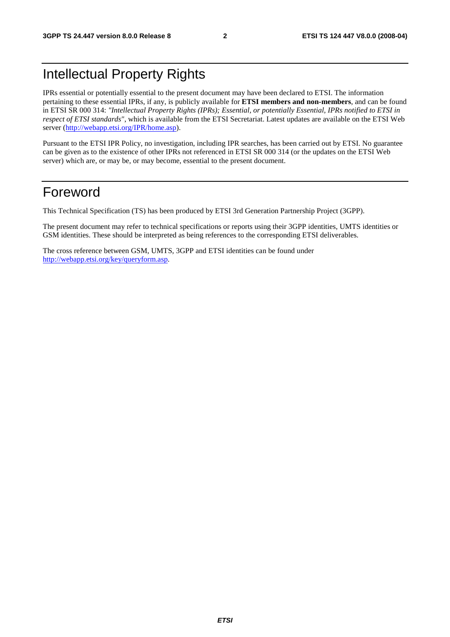# Intellectual Property Rights

IPRs essential or potentially essential to the present document may have been declared to ETSI. The information pertaining to these essential IPRs, if any, is publicly available for **ETSI members and non-members**, and can be found in ETSI SR 000 314: *"Intellectual Property Rights (IPRs); Essential, or potentially Essential, IPRs notified to ETSI in respect of ETSI standards"*, which is available from the ETSI Secretariat. Latest updates are available on the ETSI Web server ([http://webapp.etsi.org/IPR/home.asp\)](http://webapp.etsi.org/IPR/home.asp).

Pursuant to the ETSI IPR Policy, no investigation, including IPR searches, has been carried out by ETSI. No guarantee can be given as to the existence of other IPRs not referenced in ETSI SR 000 314 (or the updates on the ETSI Web server) which are, or may be, or may become, essential to the present document.

# Foreword

This Technical Specification (TS) has been produced by ETSI 3rd Generation Partnership Project (3GPP).

The present document may refer to technical specifications or reports using their 3GPP identities, UMTS identities or GSM identities. These should be interpreted as being references to the corresponding ETSI deliverables.

The cross reference between GSM, UMTS, 3GPP and ETSI identities can be found under [http://webapp.etsi.org/key/queryform.asp.](http://webapp.etsi.org/key/queryform.asp)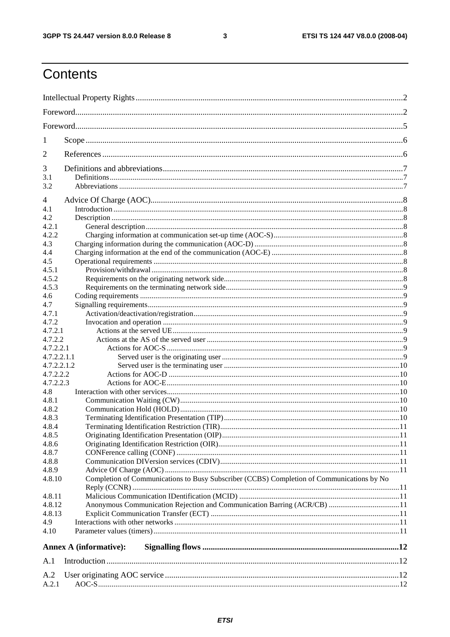$\mathbf{3}$ 

# Contents

| 1                             |                                                                                           |  |  |  |  |  |
|-------------------------------|-------------------------------------------------------------------------------------------|--|--|--|--|--|
| 2                             |                                                                                           |  |  |  |  |  |
| 3                             |                                                                                           |  |  |  |  |  |
| 3.1                           |                                                                                           |  |  |  |  |  |
| 3.2                           |                                                                                           |  |  |  |  |  |
|                               |                                                                                           |  |  |  |  |  |
| 4                             |                                                                                           |  |  |  |  |  |
| 4.1                           |                                                                                           |  |  |  |  |  |
| 4.2                           |                                                                                           |  |  |  |  |  |
| 4.2.1                         |                                                                                           |  |  |  |  |  |
| 4.2.2                         |                                                                                           |  |  |  |  |  |
| 4.3                           |                                                                                           |  |  |  |  |  |
| 4.4                           |                                                                                           |  |  |  |  |  |
| 4.5                           |                                                                                           |  |  |  |  |  |
| 4.5.1                         |                                                                                           |  |  |  |  |  |
| 4.5.2                         |                                                                                           |  |  |  |  |  |
| 4.5.3                         |                                                                                           |  |  |  |  |  |
| 4.6                           |                                                                                           |  |  |  |  |  |
| 4.7                           |                                                                                           |  |  |  |  |  |
| 4.7.1                         |                                                                                           |  |  |  |  |  |
| 4.7.2                         |                                                                                           |  |  |  |  |  |
| 4.7.2.1                       |                                                                                           |  |  |  |  |  |
| 4.7.2.2                       |                                                                                           |  |  |  |  |  |
| 4.7.2.2.1                     |                                                                                           |  |  |  |  |  |
| 4.7.2.2.1.1                   |                                                                                           |  |  |  |  |  |
| 4.7.2.2.1.2                   |                                                                                           |  |  |  |  |  |
| 4.7.2.2.2                     |                                                                                           |  |  |  |  |  |
| 4.7.2.2.3                     |                                                                                           |  |  |  |  |  |
| 4.8                           |                                                                                           |  |  |  |  |  |
| 4.8.1                         |                                                                                           |  |  |  |  |  |
| 4.8.2                         |                                                                                           |  |  |  |  |  |
| 4.8.3                         |                                                                                           |  |  |  |  |  |
| 4.8.4                         |                                                                                           |  |  |  |  |  |
| 4.8.5                         |                                                                                           |  |  |  |  |  |
| 4.8.6                         |                                                                                           |  |  |  |  |  |
| 4.8.7                         |                                                                                           |  |  |  |  |  |
| 4.8.8                         |                                                                                           |  |  |  |  |  |
| 4.8.9                         |                                                                                           |  |  |  |  |  |
| 4.8.10                        | Completion of Communications to Busy Subscriber (CCBS) Completion of Communications by No |  |  |  |  |  |
| 4.8.11                        |                                                                                           |  |  |  |  |  |
| 4.8.12                        | Anonymous Communication Rejection and Communication Barring (ACR/CB) 11                   |  |  |  |  |  |
| 4.8.13                        |                                                                                           |  |  |  |  |  |
| 4.9                           |                                                                                           |  |  |  |  |  |
| 4.10                          |                                                                                           |  |  |  |  |  |
|                               |                                                                                           |  |  |  |  |  |
| <b>Annex A (informative):</b> |                                                                                           |  |  |  |  |  |
| A.1                           |                                                                                           |  |  |  |  |  |
| A.2                           |                                                                                           |  |  |  |  |  |
| A.2.1                         |                                                                                           |  |  |  |  |  |
|                               |                                                                                           |  |  |  |  |  |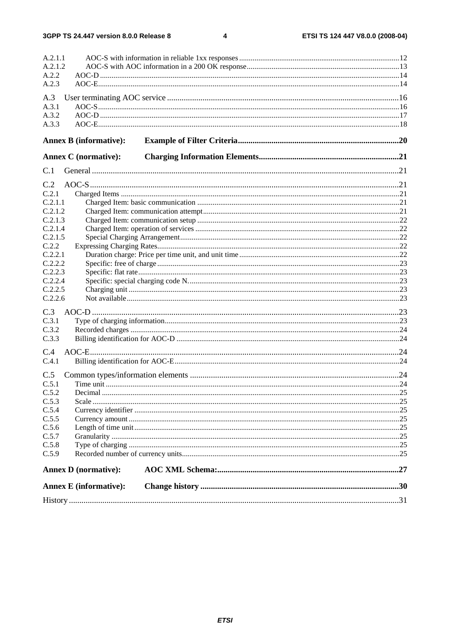$\overline{\mathbf{4}}$ 

| A.2.1.1                       |  |
|-------------------------------|--|
| A.2.1.2                       |  |
| A.2.2                         |  |
| A.2.3                         |  |
|                               |  |
| A.3<br>A.3.1                  |  |
| A.3.2                         |  |
| A.3.3                         |  |
|                               |  |
| <b>Annex B</b> (informative): |  |
| <b>Annex C</b> (normative):   |  |
| C.1                           |  |
|                               |  |
| C.2                           |  |
| C.2.1                         |  |
| C.2.1.1                       |  |
| C.2.1.2                       |  |
| C.2.1.3                       |  |
| C.2.1.4                       |  |
| C.2.1.5                       |  |
| C.2.2                         |  |
| C.2.2.1                       |  |
| C.2.2.2                       |  |
| C.2.2.3                       |  |
| C.2.2.4                       |  |
| C.2.2.5<br>C.2.2.6            |  |
|                               |  |
| C.3                           |  |
| C.3.1                         |  |
| C.3.2                         |  |
| C.3.3                         |  |
| C.4                           |  |
| C.4.1                         |  |
|                               |  |
| C.5                           |  |
| C.5.1                         |  |
| C.5.2                         |  |
| C.5.3                         |  |
| C.5.4                         |  |
| C.5.5                         |  |
| C.5.6                         |  |
| C.5.7                         |  |
| C.5.8                         |  |
| C.5.9                         |  |
| <b>Annex D</b> (normative):   |  |
| <b>Annex E</b> (informative): |  |
|                               |  |
|                               |  |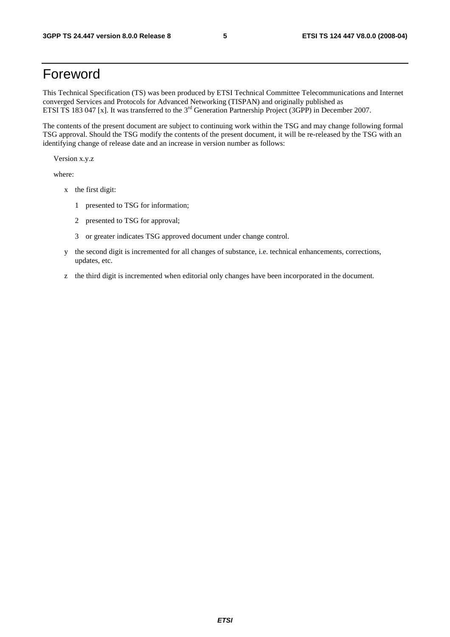# Foreword

This Technical Specification (TS) was been produced by ETSI Technical Committee Telecommunications and Internet converged Services and Protocols for Advanced Networking (TISPAN) and originally published as ETSI TS 183 047 [x]. It was transferred to the 3<sup>rd</sup> Generation Partnership Project (3GPP) in December 2007.

The contents of the present document are subject to continuing work within the TSG and may change following formal TSG approval. Should the TSG modify the contents of the present document, it will be re-released by the TSG with an identifying change of release date and an increase in version number as follows:

Version x.y.z

where:

- x the first digit:
	- 1 presented to TSG for information;
	- 2 presented to TSG for approval;
	- 3 or greater indicates TSG approved document under change control.
- y the second digit is incremented for all changes of substance, i.e. technical enhancements, corrections, updates, etc.
- z the third digit is incremented when editorial only changes have been incorporated in the document.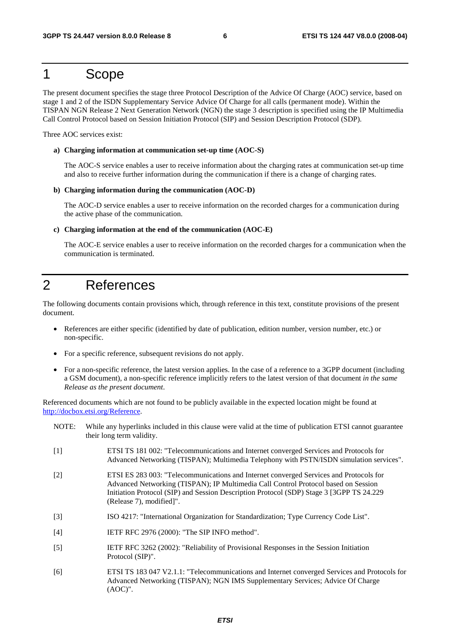## 1 Scope

The present document specifies the stage three Protocol Description of the Advice Of Charge (AOC) service, based on stage 1 and 2 of the ISDN Supplementary Service Advice Of Charge for all calls (permanent mode). Within the TISPAN NGN Release 2 Next Generation Network (NGN) the stage 3 description is specified using the IP Multimedia Call Control Protocol based on Session Initiation Protocol (SIP) and Session Description Protocol (SDP).

Three AOC services exist:

#### **a) Charging information at communication set-up time (AOC-S)**

 The AOC-S service enables a user to receive information about the charging rates at communication set-up time and also to receive further information during the communication if there is a change of charging rates.

#### **b) Charging information during the communication (AOC-D)**

 The AOC-D service enables a user to receive information on the recorded charges for a communication during the active phase of the communication.

#### **c) Charging information at the end of the communication (AOC-E)**

 The AOC-E service enables a user to receive information on the recorded charges for a communication when the communication is terminated.

# 2 References

The following documents contain provisions which, through reference in this text, constitute provisions of the present document.

- References are either specific (identified by date of publication, edition number, version number, etc.) or non-specific.
- For a specific reference, subsequent revisions do not apply.

(AOC)".

• For a non-specific reference, the latest version applies. In the case of a reference to a 3GPP document (including a GSM document), a non-specific reference implicitly refers to the latest version of that document *in the same Release as the present document*.

Referenced documents which are not found to be publicly available in the expected location might be found at http://docbox.etsi.org/Reference.

NOTE: While any hyperlinks included in this clause were valid at the time of publication ETSI cannot guarantee their long term validity. [1] ETSI TS 181 002: "Telecommunications and Internet converged Services and Protocols for Advanced Networking (TISPAN); Multimedia Telephony with PSTN/ISDN simulation services". [2] ETSI ES 283 003: "Telecommunications and Internet converged Services and Protocols for Advanced Networking (TISPAN); IP Multimedia Call Control Protocol based on Session Initiation Protocol (SIP) and Session Description Protocol (SDP) Stage 3 [3GPP TS 24.229 (Release 7), modified]". [3] ISO 4217: "International Organization for Standardization; Type Currency Code List". [4] **IETF RFC 2976 (2000): "The SIP INFO method".** [5] IETF RFC 3262 (2002): "Reliability of Provisional Responses in the Session Initiation Protocol (SIP)". [6] ETSI TS 183 047 V2.1.1: "Telecommunications and Internet converged Services and Protocols for Advanced Networking (TISPAN); NGN IMS Supplementary Services; Advice Of Charge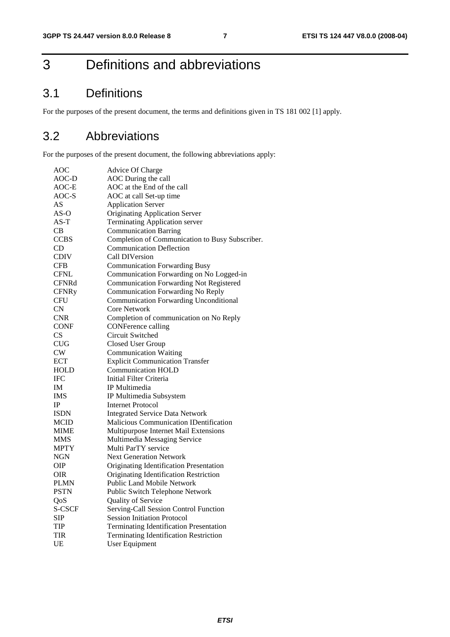# 3 Definitions and abbreviations

# 3.1 Definitions

For the purposes of the present document, the terms and definitions given in TS 181 002 [1] apply.

## 3.2 Abbreviations

For the purposes of the present document, the following abbreviations apply:

| Advice Of Charge                                |
|-------------------------------------------------|
| AOC During the call                             |
| AOC at the End of the call                      |
| AOC at call Set-up time                         |
| <b>Application Server</b>                       |
| <b>Originating Application Server</b>           |
| <b>Terminating Application server</b>           |
| <b>Communication Barring</b>                    |
| Completion of Communication to Busy Subscriber. |
| <b>Communication Deflection</b>                 |
| Call DIVersion                                  |
| <b>Communication Forwarding Busy</b>            |
| Communication Forwarding on No Logged-in        |
| <b>Communication Forwarding Not Registered</b>  |
| Communication Forwarding No Reply               |
| <b>Communication Forwarding Unconditional</b>   |
| <b>Core Network</b>                             |
| Completion of communication on No Reply         |
| <b>CONFerence calling</b>                       |
| Circuit Switched                                |
| Closed User Group                               |
| <b>Communication Waiting</b>                    |
| <b>Explicit Communication Transfer</b>          |
| <b>Communication HOLD</b>                       |
| Initial Filter Criteria                         |
| IP Multimedia                                   |
| IP Multimedia Subsystem                         |
| <b>Internet Protocol</b>                        |
| <b>Integrated Service Data Network</b>          |
| <b>Malicious Communication IDentification</b>   |
| Multipurpose Internet Mail Extensions           |
| Multimedia Messaging Service                    |
| Multi ParTY service                             |
| <b>Next Generation Network</b>                  |
| Originating Identification Presentation         |
| Originating Identification Restriction          |
| Public Land Mobile Network                      |
| <b>Public Switch Telephone Network</b>          |
| Quality of Service                              |
| Serving-Call Session Control Function           |
| <b>Session Initiation Protocol</b>              |
| <b>Terminating Identification Presentation</b>  |
| <b>Terminating Identification Restriction</b>   |
| <b>User Equipment</b>                           |
|                                                 |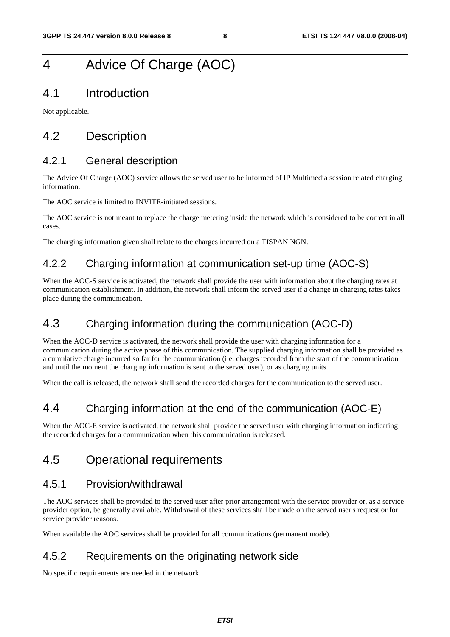# 4 Advice Of Charge (AOC)

### 4.1 Introduction

Not applicable.

# 4.2 Description

#### 4.2.1 General description

The Advice Of Charge (AOC) service allows the served user to be informed of IP Multimedia session related charging information.

The AOC service is limited to INVITE-initiated sessions.

The AOC service is not meant to replace the charge metering inside the network which is considered to be correct in all cases.

The charging information given shall relate to the charges incurred on a TISPAN NGN.

### 4.2.2 Charging information at communication set-up time (AOC-S)

When the AOC-S service is activated, the network shall provide the user with information about the charging rates at communication establishment. In addition, the network shall inform the served user if a change in charging rates takes place during the communication.

## 4.3 Charging information during the communication (AOC-D)

When the AOC-D service is activated, the network shall provide the user with charging information for a communication during the active phase of this communication. The supplied charging information shall be provided as a cumulative charge incurred so far for the communication (i.e. charges recorded from the start of the communication and until the moment the charging information is sent to the served user), or as charging units.

When the call is released, the network shall send the recorded charges for the communication to the served user.

## 4.4 Charging information at the end of the communication (AOC-E)

When the AOC-E service is activated, the network shall provide the served user with charging information indicating the recorded charges for a communication when this communication is released.

## 4.5 Operational requirements

### 4.5.1 Provision/withdrawal

The AOC services shall be provided to the served user after prior arrangement with the service provider or, as a service provider option, be generally available. Withdrawal of these services shall be made on the served user's request or for service provider reasons.

When available the AOC services shall be provided for all communications (permanent mode).

### 4.5.2 Requirements on the originating network side

No specific requirements are needed in the network.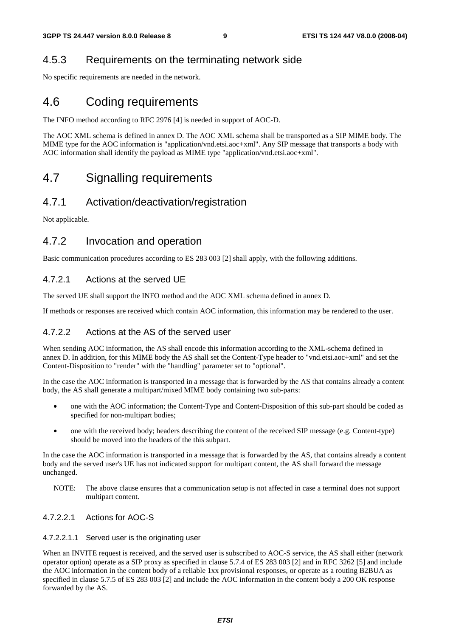### 4.5.3 Requirements on the terminating network side

No specific requirements are needed in the network.

# 4.6 Coding requirements

The INFO method according to RFC 2976 [4] is needed in support of AOC-D.

The AOC XML schema is defined in annex D. The AOC XML schema shall be transported as a SIP MIME body. The MIME type for the AOC information is "application/vnd.etsi.aoc+xml". Any SIP message that transports a body with AOC information shall identify the payload as MIME type "application/vnd.etsi.aoc+xml".

# 4.7 Signalling requirements

#### 4.7.1 Activation/deactivation/registration

Not applicable.

#### 4.7.2 Invocation and operation

Basic communication procedures according to ES 283 003 [2] shall apply, with the following additions.

#### 4.7.2.1 Actions at the served UE

The served UE shall support the INFO method and the AOC XML schema defined in annex D.

If methods or responses are received which contain AOC information, this information may be rendered to the user.

#### 4.7.2.2 Actions at the AS of the served user

When sending AOC information, the AS shall encode this information according to the XML-schema defined in annex D. In addition, for this MIME body the AS shall set the Content-Type header to "vnd.etsi.aoc+xml" and set the Content-Disposition to "render" with the "handling" parameter set to "optional".

In the case the AOC information is transported in a message that is forwarded by the AS that contains already a content body, the AS shall generate a multipart/mixed MIME body containing two sub-parts:

- one with the AOC information; the Content-Type and Content-Disposition of this sub-part should be coded as specified for non-multipart bodies;
- one with the received body; headers describing the content of the received SIP message (e.g. Content-type) should be moved into the headers of the this subpart.

In the case the AOC information is transported in a message that is forwarded by the AS, that contains already a content body and the served user's UE has not indicated support for multipart content, the AS shall forward the message unchanged.

NOTE: The above clause ensures that a communication setup is not affected in case a terminal does not support multipart content.

#### 4.7.2.2.1 Actions for AOC-S

#### 4.7.2.2.1.1 Served user is the originating user

When an INVITE request is received, and the served user is subscribed to AOC-S service, the AS shall either (network operator option) operate as a SIP proxy as specified in clause 5.7.4 of ES 283 003 [2] and in RFC 3262 [5] and include the AOC information in the content body of a reliable 1xx provisional responses, or operate as a routing B2BUA as specified in clause 5.7.5 of ES 283 003 [2] and include the AOC information in the content body a 200 OK response forwarded by the AS.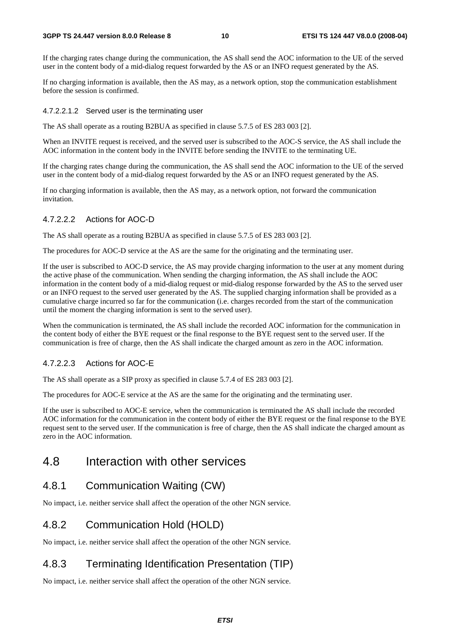#### **3GPP TS 24.447 version 8.0.0 Release 8 10 ETSI TS 124 447 V8.0.0 (2008-04)**

If the charging rates change during the communication, the AS shall send the AOC information to the UE of the served user in the content body of a mid-dialog request forwarded by the AS or an INFO request generated by the AS.

If no charging information is available, then the AS may, as a network option, stop the communication establishment before the session is confirmed.

#### 4.7.2.2.1.2 Served user is the terminating user

The AS shall operate as a routing B2BUA as specified in clause 5.7.5 of ES 283 003 [2].

When an INVITE request is received, and the served user is subscribed to the AOC-S service, the AS shall include the AOC information in the content body in the INVITE before sending the INVITE to the terminating UE.

If the charging rates change during the communication, the AS shall send the AOC information to the UE of the served user in the content body of a mid-dialog request forwarded by the AS or an INFO request generated by the AS.

If no charging information is available, then the AS may, as a network option, not forward the communication invitation.

#### 4.7.2.2.2 Actions for AOC-D

The AS shall operate as a routing B2BUA as specified in clause 5.7.5 of ES 283 003 [2].

The procedures for AOC-D service at the AS are the same for the originating and the terminating user.

If the user is subscribed to AOC-D service, the AS may provide charging information to the user at any moment during the active phase of the communication. When sending the charging information, the AS shall include the AOC information in the content body of a mid-dialog request or mid-dialog response forwarded by the AS to the served user or an INFO request to the served user generated by the AS. The supplied charging information shall be provided as a cumulative charge incurred so far for the communication (i.e. charges recorded from the start of the communication until the moment the charging information is sent to the served user).

When the communication is terminated, the AS shall include the recorded AOC information for the communication in the content body of either the BYE request or the final response to the BYE request sent to the served user. If the communication is free of charge, then the AS shall indicate the charged amount as zero in the AOC information.

#### 4.7.2.2.3 Actions for AOC-E

The AS shall operate as a SIP proxy as specified in clause 5.7.4 of ES 283 003 [2].

The procedures for AOC-E service at the AS are the same for the originating and the terminating user.

If the user is subscribed to AOC-E service, when the communication is terminated the AS shall include the recorded AOC information for the communication in the content body of either the BYE request or the final response to the BYE request sent to the served user. If the communication is free of charge, then the AS shall indicate the charged amount as zero in the AOC information.

# 4.8 Interaction with other services

## 4.8.1 Communication Waiting (CW)

No impact, i.e. neither service shall affect the operation of the other NGN service.

## 4.8.2 Communication Hold (HOLD)

No impact, i.e. neither service shall affect the operation of the other NGN service.

# 4.8.3 Terminating Identification Presentation (TIP)

No impact, i.e. neither service shall affect the operation of the other NGN service.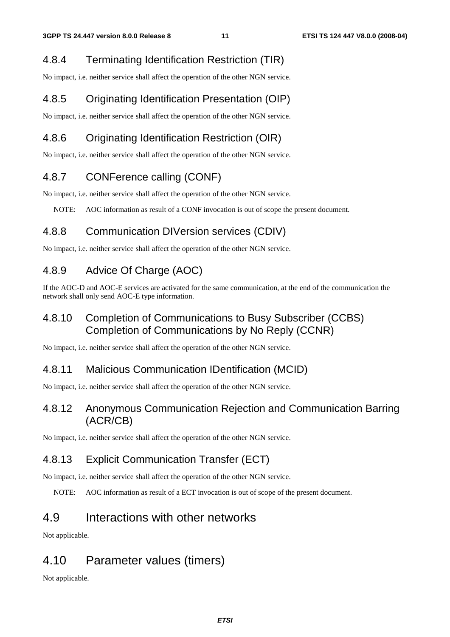### 4.8.4 Terminating Identification Restriction (TIR)

No impact, i.e. neither service shall affect the operation of the other NGN service.

### 4.8.5 Originating Identification Presentation (OIP)

No impact, i.e. neither service shall affect the operation of the other NGN service.

## 4.8.6 Originating Identification Restriction (OIR)

No impact, i.e. neither service shall affect the operation of the other NGN service.

### 4.8.7 CONFerence calling (CONF)

No impact, i.e. neither service shall affect the operation of the other NGN service.

NOTE: AOC information as result of a CONF invocation is out of scope the present document.

### 4.8.8 Communication DIVersion services (CDIV)

No impact, i.e. neither service shall affect the operation of the other NGN service.

### 4.8.9 Advice Of Charge (AOC)

If the AOC-D and AOC-E services are activated for the same communication, at the end of the communication the network shall only send AOC-E type information.

### 4.8.10 Completion of Communications to Busy Subscriber (CCBS) Completion of Communications by No Reply (CCNR)

No impact, i.e. neither service shall affect the operation of the other NGN service.

### 4.8.11 Malicious Communication IDentification (MCID)

No impact, i.e. neither service shall affect the operation of the other NGN service.

### 4.8.12 Anonymous Communication Rejection and Communication Barring (ACR/CB)

No impact, i.e. neither service shall affect the operation of the other NGN service.

## 4.8.13 Explicit Communication Transfer (ECT)

No impact, i.e. neither service shall affect the operation of the other NGN service.

NOTE: AOC information as result of a ECT invocation is out of scope of the present document.

## 4.9 Interactions with other networks

Not applicable.

# 4.10 Parameter values (timers)

Not applicable.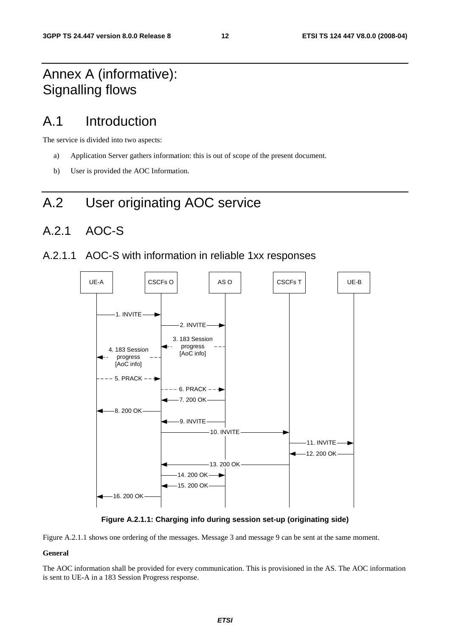# Annex A (informative): Signalling flows

# A.1 Introduction

The service is divided into two aspects:

- a) Application Server gathers information: this is out of scope of the present document.
- b) User is provided the AOC Information.

# A.2 User originating AOC service

## A.2.1 AOC-S

#### A.2.1.1 AOC-S with information in reliable 1xx responses



**Figure A.2.1.1: Charging info during session set-up (originating side)** 

Figure A.2.1.1 shows one ordering of the messages. Message 3 and message 9 can be sent at the same moment.

#### **General**

The AOC information shall be provided for every communication. This is provisioned in the AS. The AOC information is sent to UE-A in a 183 Session Progress response.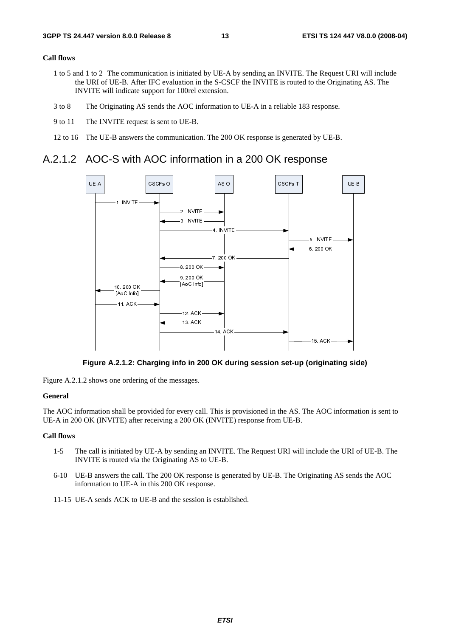#### **Call flows**

- 1 to 5 and 1 to 2 The communication is initiated by UE-A by sending an INVITE. The Request URI will include the URI of UE-B. After IFC evaluation in the S-CSCF the INVITE is routed to the Originating AS. The INVITE will indicate support for 100rel extension.
- 3 to 8 The Originating AS sends the AOC information to UE-A in a reliable 183 response.
- 9 to 11 The INVITE request is sent to UE-B.
- 12 to 16 The UE-B answers the communication. The 200 OK response is generated by UE-B.

#### A.2.1.2 AOC-S with AOC information in a 200 OK response



**Figure A.2.1.2: Charging info in 200 OK during session set-up (originating side)** 

Figure A.2.1.2 shows one ordering of the messages.

#### **General**

**prigina**<br>
e AOC<br>
clude<br>
inating The AOC information shall be provided for every call. This is provisioned in the AS. The AOC information is sent to UE-A in 200 OK (INVITE) after receiving a 200 OK (INVITE) response from UE-B.

#### **Call flows**

- 1-5 The call is initiated by UE-A by sending an INVITE. The Request URI will include the URI of UE-B. The INVITE is routed via the Originating AS to UE-B.
- 6-10 UE-B answers the call. The 200 OK response is generated by UE-B. The Originating AS sends the AOC information to UE-A in this 200 OK response.
- 11-15 UE-A sends ACK to UE-B and the session is established.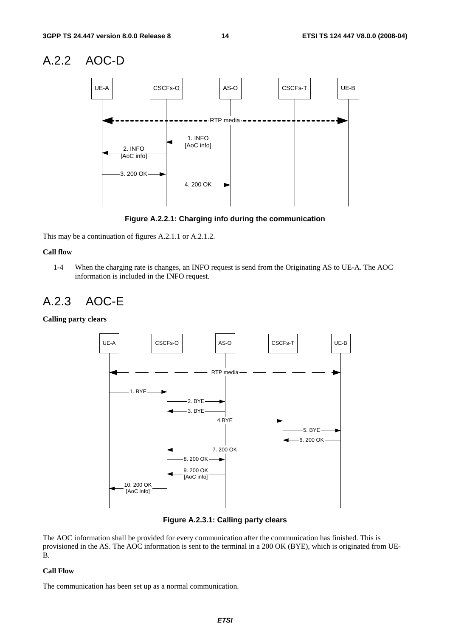### A.2.2 AOC-D



**Figure A.2.2.1: Charging info during the communication** 

This may be a continuation of figures A.2.1.1 or A.2.1.2.

#### **Call flow**

1-4 When the charging rate is changes, an INFO request is send from the Originating AS to UE-A. The AOC information is included in the INFO request.

### A.2.3 AOC-E

**Calling party clears** 



**Figure A.2.3.1: Calling party clears** 

The AOC information shall be provided for every communication after the communication has finished. This is provisioned in the AS. The AOC information is sent to the terminal in a 200 OK (BYE), which is originated from UE-B.

#### **Call Flow**

The communication has been set up as a normal communication.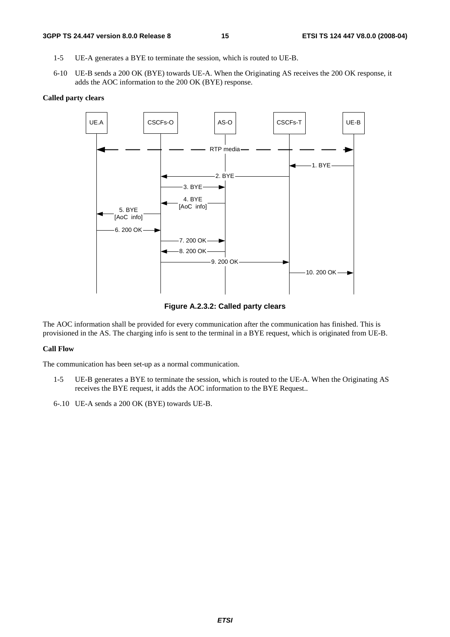- 1-5 UE-A generates a BYE to terminate the session, which is routed to UE-B.
- 6-10 UE-B sends a 200 OK (BYE) towards UE-A. When the Originating AS receives the 200 OK response, it adds the AOC information to the 200 OK (BYE) response.

#### **Called party clears**



**Figure A.2.3.2: Called party clears** 

The AOC information shall be provided for every communication after the communication has finished. This is provisioned in the AS. The charging info is sent to the terminal in a BYE request, which is originated from UE-B.

#### **Call Flow**

The communication has been set-up as a normal communication.

- 1-5 UE-B generates a BYE to terminate the session, which is routed to the UE-A. When the Originating AS receives the BYE request, it adds the AOC information to the BYE Request..
- 6-.10 UE-A sends a 200 OK (BYE) towards UE-B.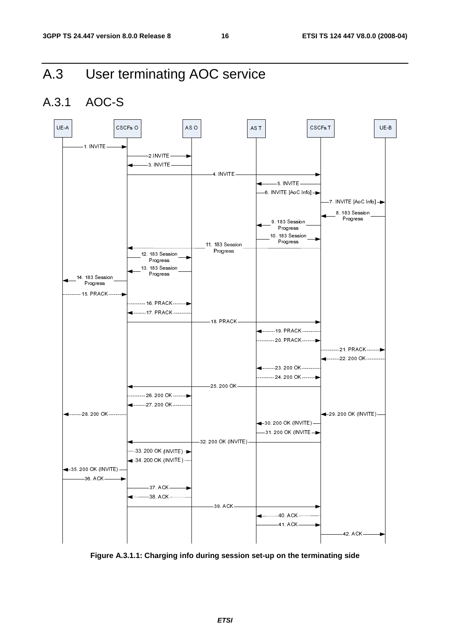# A.3 User terminating AOC service

# A.3.1 AOC-S



**Figure A.3.1.1: Charging info during session set-up on the terminating side**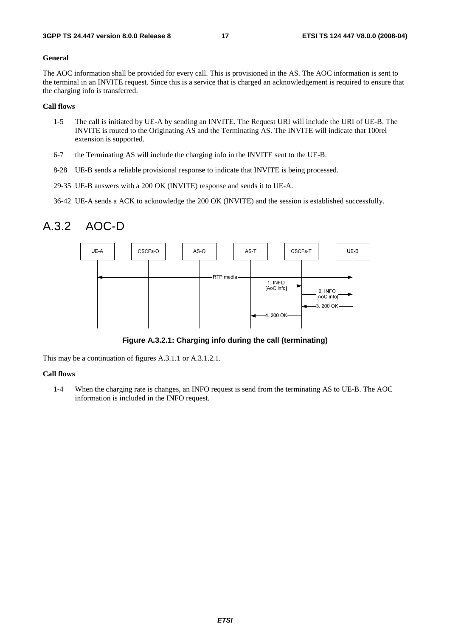#### **General**

The AOC information shall be provided for every call. This is provisioned in the AS. The AOC information is sent to the terminal in an INVITE request. Since this is a service that is charged an acknowledgement is required to ensure that the charging info is transferred.

#### **Call flows**

- 1-5 The call is initiated by UE-A by sending an INVITE. The Request URI will include the URI of UE-B. The INVITE is routed to the Originating AS and the Terminating AS. The INVITE will indicate that 100rel extension is supported.
- 6-7 the Terminating AS will include the charging info in the INVITE sent to the UE-B.
- 8-28 UE-B sends a reliable provisional response to indicate that INVITE is being processed.
- 29-35 UE-B answers with a 200 OK (INVITE) response and sends it to UE-A.
- 36-42 UE-A sends a ACK to acknowledge the 200 OK (INVITE) and the session is established successfully.

### A.3.2 AOC-D



**Figure A.3.2.1: Charging info during the call (terminating)** 

This may be a continuation of figures A.3.1.1 or A.3.1.2.1.

#### **Call flows**

1-4 When the charging rate is changes, an INFO request is send from the terminating AS to UE-B. The AOC information is included in the INFO request.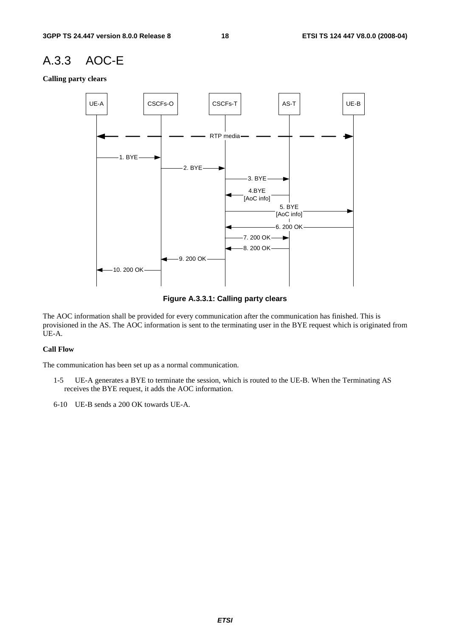### A.3.3 AOC-E

**Calling party clears** 



**Figure A.3.3.1: Calling party clears** 

The AOC information shall be provided for every communication after the communication has finished. This is provisioned in the AS. The AOC information is sent to the terminating user in the BYE request which is originated from UE-A.

#### **Call Flow**

The communication has been set up as a normal communication.

- 1-5 UE-A generates a BYE to terminate the session, which is routed to the UE-B. When the Terminating AS receives the BYE request, it adds the AOC information.
- 6-10 UE-B sends a 200 OK towards UE-A.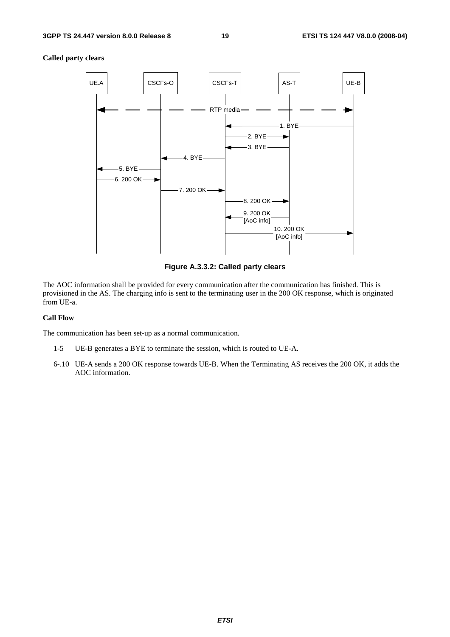#### **Called party clears**



**Figure A.3.3.2: Called party clears** 

The AOC information shall be provided for every communication after the communication has finished. This is provisioned in the AS. The charging info is sent to the terminating user in the 200 OK response, which is originated from UE-a.

#### **Call Flow**

The communication has been set-up as a normal communication.

- 1-5 UE-B generates a BYE to terminate the session, which is routed to UE-A.
- 6-.10 UE-A sends a 200 OK response towards UE-B. When the Terminating AS receives the 200 OK, it adds the AOC information.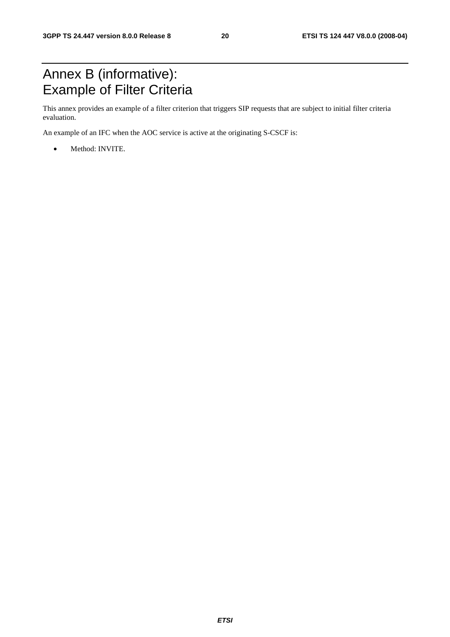# Annex B (informative): Example of Filter Criteria

This annex provides an example of a filter criterion that triggers SIP requests that are subject to initial filter criteria evaluation.

An example of an IFC when the AOC service is active at the originating S-CSCF is:

• Method: INVITE.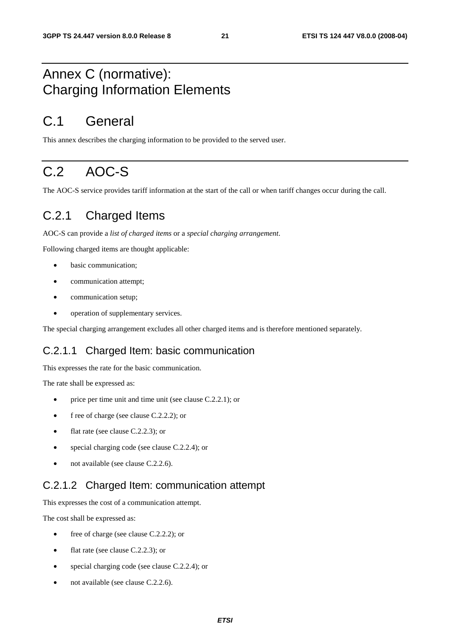# Annex C (normative): Charging Information Elements

# C.1 General

This annex describes the charging information to be provided to the served user.

# C.2 AOC-S

The AOC-S service provides tariff information at the start of the call or when tariff changes occur during the call.

## C.2.1 Charged Items

AOC-S can provide a *list of charged items* or a *special charging arrangement*.

Following charged items are thought applicable:

- basic communication;
- communication attempt;
- communication setup;
- operation of supplementary services.

The special charging arrangement excludes all other charged items and is therefore mentioned separately.

#### C.2.1.1 Charged Item: basic communication

This expresses the rate for the basic communication.

The rate shall be expressed as:

- price per time unit and time unit (see clause C.2.2.1); or
- f ree of charge (see clause C.2.2.2); or
- flat rate (see clause C.2.2.3); or
- special charging code (see clause C.2.2.4); or
- not available (see clause C.2.2.6).

#### C.2.1.2 Charged Item: communication attempt

This expresses the cost of a communication attempt.

The cost shall be expressed as:

- free of charge (see clause C.2.2.2); or
- flat rate (see clause C.2.2.3); or
- special charging code (see clause C.2.2.4); or
- not available (see clause C.2.2.6).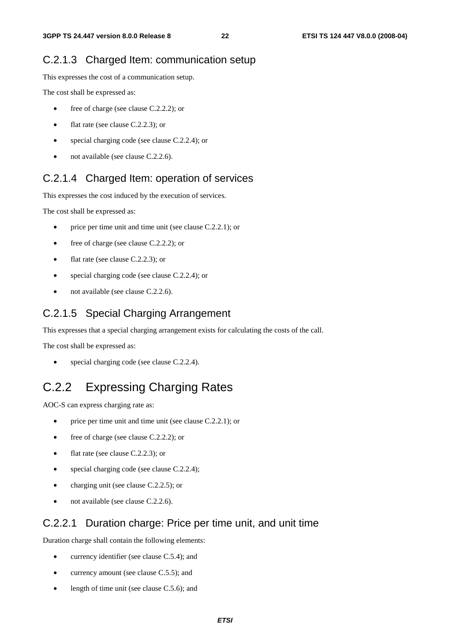#### C.2.1.3 Charged Item: communication setup

This expresses the cost of a communication setup.

The cost shall be expressed as:

- free of charge (see clause C.2.2.2); or
- flat rate (see clause C.2.2.3); or
- special charging code (see clause C.2.2.4); or
- not available (see clause C.2.2.6).

#### C.2.1.4 Charged Item: operation of services

This expresses the cost induced by the execution of services.

The cost shall be expressed as:

- price per time unit and time unit (see clause C.2.2.1); or
- free of charge (see clause C.2.2.2); or
- flat rate (see clause C.2.2.3); or
- special charging code (see clause C.2.2.4); or
- not available (see clause C.2.2.6).

#### C.2.1.5 Special Charging Arrangement

This expresses that a special charging arrangement exists for calculating the costs of the call.

The cost shall be expressed as:

special charging code (see clause C.2.2.4).

# C.2.2 Expressing Charging Rates

AOC-S can express charging rate as:

- price per time unit and time unit (see clause C.2.2.1); or
- free of charge (see clause C.2.2.2); or
- flat rate (see clause C.2.2.3); or
- special charging code (see clause C.2.2.4);
- charging unit (see clause C.2.2.5); or
- not available (see clause C.2.2.6).

#### C.2.2.1 Duration charge: Price per time unit, and unit time

Duration charge shall contain the following elements:

- currency identifier (see clause C.5.4); and
- currency amount (see clause C.5.5); and
- length of time unit (see clause C.5.6); and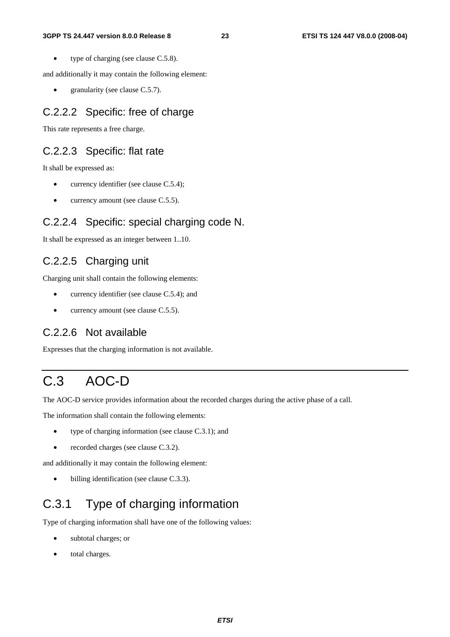• type of charging (see clause C.5.8).

and additionally it may contain the following element:

• granularity (see clause C.5.7).

#### C.2.2.2 Specific: free of charge

This rate represents a free charge.

#### C.2.2.3 Specific: flat rate

It shall be expressed as:

- currency identifier (see clause C.5.4);
- currency amount (see clause C.5.5).

#### C.2.2.4 Specific: special charging code N.

It shall be expressed as an integer between 1..10.

#### C.2.2.5 Charging unit

Charging unit shall contain the following elements:

- currency identifier (see clause C.5.4); and
- currency amount (see clause C.5.5).

#### C.2.2.6 Not available

Expresses that the charging information is not available.

# C.3 AOC-D

The AOC-D service provides information about the recorded charges during the active phase of a call.

The information shall contain the following elements:

- type of charging information (see clause C.3.1); and
- recorded charges (see clause C.3.2).

and additionally it may contain the following element:

billing identification (see clause C.3.3).

# C.3.1 Type of charging information

Type of charging information shall have one of the following values:

- subtotal charges; or
- total charges.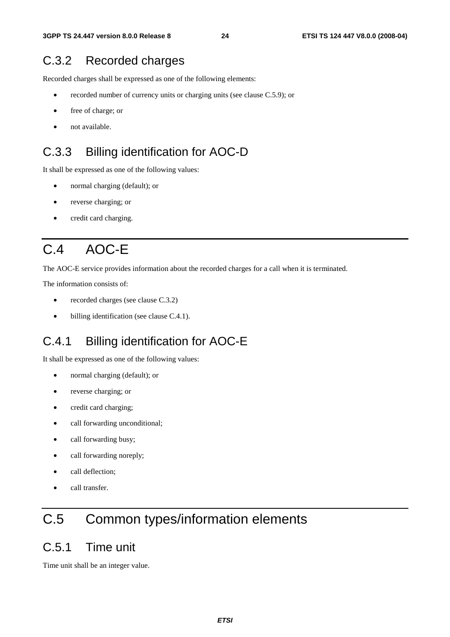# C.3.2 Recorded charges

Recorded charges shall be expressed as one of the following elements:

- recorded number of currency units or charging units (see clause C.5.9); or
- free of charge; or
- not available.

## C.3.3 Billing identification for AOC-D

It shall be expressed as one of the following values:

- normal charging (default); or
- reverse charging; or
- credit card charging.

# C.4 AOC-E

The AOC-E service provides information about the recorded charges for a call when it is terminated.

The information consists of:

- recorded charges (see clause C.3.2)
- billing identification (see clause C.4.1).

# C.4.1 Billing identification for AOC-E

It shall be expressed as one of the following values:

- normal charging (default); or
- reverse charging; or
- credit card charging;
- call forwarding unconditional;
- call forwarding busy;
- call forwarding noreply;
- call deflection:
- call transfer.

# C.5 Common types/information elements

### C.5.1 Time unit

Time unit shall be an integer value.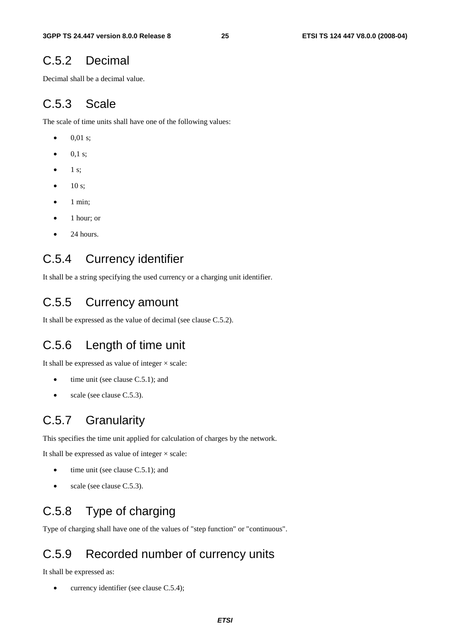### C.5.2 Decimal

Decimal shall be a decimal value.

## C.5.3 Scale

The scale of time units shall have one of the following values:

- 0.01 s:
- $0,1 \text{ s};$
- $\bullet$  1 s;
- $\bullet$  10 s;
- 1 min;
- 1 hour; or
- 24 hours.

## C.5.4 Currency identifier

It shall be a string specifying the used currency or a charging unit identifier.

### C.5.5 Currency amount

It shall be expressed as the value of decimal (see clause C.5.2).

## C.5.6 Length of time unit

It shall be expressed as value of integer  $\times$  scale:

- time unit (see clause C.5.1); and
- scale (see clause C.5.3).

## C.5.7 Granularity

This specifies the time unit applied for calculation of charges by the network.

It shall be expressed as value of integer  $\times$  scale:

- time unit (see clause  $C.5.1$ ); and
- scale (see clause C.5.3).

# C.5.8 Type of charging

Type of charging shall have one of the values of "step function" or "continuous".

## C.5.9 Recorded number of currency units

It shall be expressed as:

currency identifier (see clause C.5.4);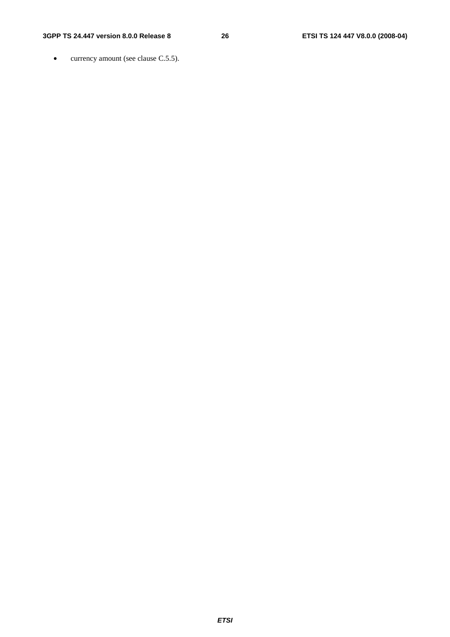#### **3GPP TS 24.447 version 8.0.0 Release 8 26 ETSI TS 124 447 V8.0.0 (2008-04)**

• currency amount (see clause C.5.5).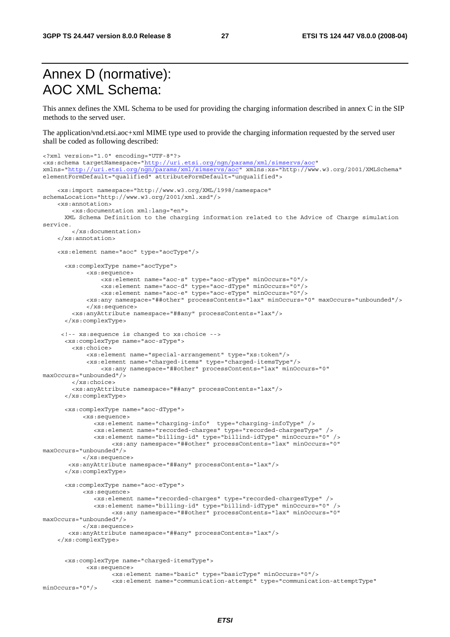# Annex D (normative): AOC XML Schema:

This annex defines the XML Schema to be used for providing the charging information described in annex C in the SIP methods to the served user.

The application/vnd.etsi.aoc+xml MIME type used to provide the charging information requested by the served user shall be coded as following described:

```
<?xml version="1.0" encoding="UTF-8"?> 
<xs:schema targetNamespace="http://uri.etsi.org/ngn/params/xml/simservs/aoc" 
xmlns="http://uri.etsi.org/ngn/params/xml/simservs/aoc" xmlns:xs="http://www.w3.org/2001/XMLSchema" 
elementFormDefault="qualified" attributeFormDefault="unqualified"> 
     <xs:import namespace="http://www.w3.org/XML/1998/namespace" 
schemaLocation="http://www.w3.org/2001/xml.xsd"/> 
     <xs:annotation> 
        <xs:documentation xml:lang="en"> 
      XML Schema Definition to the charging information related to the Advice of Charge simulation 
service. 
         </xs:documentation> 
     </xs:annotation> 
     <xs:element name="aoc" type="aocType"/> 
       <xs:complexType name="aocType"> 
             <xs:sequence> 
                 <xs:element name="aoc-s" type="aoc-sType" minOccurs="0"/> 
                 <xs:element name="aoc-d" type="aoc-dType" minOccurs="0"/> 
                 <xs:element name="aoc-e" type="aoc-eType" minOccurs="0"/> 
             <xs:any namespace="##other" processContents="lax" minOccurs="0" maxOccurs="unbounded"/> 
             </xs:sequence> 
         <xs:anyAttribute namespace="##any" processContents="lax"/> 
       </xs:complexType> 
      <!-- xs:sequence is changed to xs:choice --> 
       <xs:complexType name="aoc-sType"> 
         <xs:choice> 
             <xs:element name="special-arrangement" type="xs:token"/> 
 <xs:element name="charged-items" type="charged-itemsType"/> 
 <xs:any namespace="##other" processContents="lax" minOccurs="0" 
maxOccurs="unbounded"/> 
         </xs:choice> 
         <xs:anyAttribute namespace="##any" processContents="lax"/> 
       </xs:complexType> 
       <xs:complexType name="aoc-dType"> 
            <xs:sequence> 
               <xs:element name="charging-info" type="charging-infoType" /> 
               <xs:element name="recorded-charges" type="recorded-chargesType" /> 
               <xs:element name="billing-id" type="billind-idType" minOccurs="0" /> 
                    <xs:any namespace="##other" processContents="lax" minOccurs="0" 
maxOccurs="unbounded"/> 
            </xs:sequence> 
        <xs:anyAttribute namespace="##any" processContents="lax"/> 
       </xs:complexType> 
       <xs:complexType name="aoc-eType"> 
            <xs:sequence> 
               <xs:element name="recorded-charges" type="recorded-chargesType" /> 
 <xs:element name="billing-id" type="billind-idType" minOccurs="0" /> 
 <xs:any namespace="##other" processContents="lax" minOccurs="0" 
maxOccurs="unbounded"/> 
            </xs:sequence> 
        <xs:anyAttribute namespace="##any" processContents="lax"/> 
     </xs:complexType> 
       <xs:complexType name="charged-itemsType"> 
             <xs:sequence> 
                    <xs:element name="basic" type="basicType" minOccurs="0"/> 
                    <xs:element name="communication-attempt" type="communication-attemptType" 
minOccurs="0"/>
```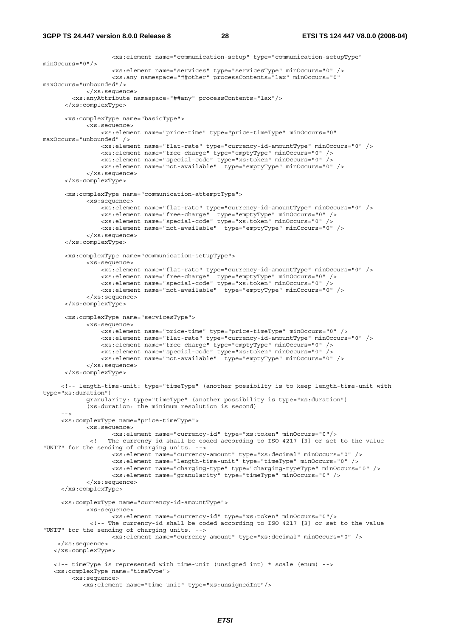#### **3GPP TS 24.447 version 8.0.0 Release 8 28 ETSI TS 124 447 V8.0.0 (2008-04)**

```
 <xs:element name="communication-setup" type="communication-setupType" 
minOccurs="0"/> 
                   <xs:element name="services" type="servicesType" minOccurs="0" /> 
                   <xs:any namespace="##other" processContents="lax" minOccurs="0" 
maxOccurs="unbounded"/> 
            </xs:sequence> 
         <xs:anyAttribute namespace="##any" processContents="lax"/> 
      </xs:complexType> 
       <xs:complexType name="basicType"> 
            <xs:sequence> 
                 <xs:element name="price-time" type="price-timeType" minOccurs="0" 
maxOccurs="unbounded" /> 
                <xs:element name="flat-rate" type="currency-id-amountType" minOccurs="0" /> 
                 <xs:element name="free-charge" type="emptyType" minOccurs="0" /> 
 <xs:element name="special-code" type="xs:token" minOccurs="0" /> 
 <xs:element name="not-available" type="emptyType" minOccurs="0" /> 
             </xs:sequence> 
       </xs:complexType> 
       <xs:complexType name="communication-attemptType"> 
             <xs:sequence> 
                 <xs:element name="flat-rate" type="currency-id-amountType" minOccurs="0" /> 
 <xs:element name="free-charge" type="emptyType" minOccurs="0" /> 
 <xs:element name="special-code" type="xs:token" minOccurs="0" /> 
                 <xs:element name="not-available" type="emptyType" minOccurs="0" /> 
             </xs:sequence> 
       </xs:complexType> 
       <xs:complexType name="communication-setupType"> 
             <xs:sequence> 
                 <xs:element name="flat-rate" type="currency-id-amountType" minOccurs="0" /> 
 <xs:element name="free-charge" type="emptyType" minOccurs="0" /> 
 <xs:element name="special-code" type="xs:token" minOccurs="0" /> 
                 <xs:element name="not-available" type="emptyType" minOccurs="0" /> 
             </xs:sequence> 
       </xs:complexType> 
       <xs:complexType name="servicesType"> 
             <xs:sequence> 
                 <xs:element name="price-time" type="price-timeType" minOccurs="0" /> 
                 <xs:element name="flat-rate" type="currency-id-amountType" minOccurs="0" /> 
 <xs:element name="free-charge" type="emptyType" minOccurs="0" /> 
 <xs:element name="special-code" type="xs:token" minOccurs="0" /> 
 <xs:element name="not-available" type="emptyType" minOccurs="0" /> 
             </xs:sequence> 
       </xs:complexType> 
      <!-- length-time-unit: type="timeType" (another possibilty is to keep length-time-unit with 
type="xs:duration") 
            granularity: type="timeType" (another possibility is type="xs:duration") 
             (xs:duration: the minimum resolution is second) 
     - - \sim <xs:complexType name="price-timeType"> 
             <xs:sequence> 
                   <xs:element name="currency-id" type="xs:token" minOccurs="0"/> 
              <!-- The currency-id shall be coded according to ISO 4217 [3] or set to the value 
"UNIT" for the sending of charging units. --> 
                    <xs:element name="currency-amount" type="xs:decimal" minOccurs="0" /> 
                    <xs:element name="length-time-unit" type="timeType" minOccurs="0" /> 
                    <xs:element name="charging-type" type="charging-typeType" minOccurs="0" /> 
                    <xs:element name="granularity" type="timeType" minOccurs="0" /> 
             </xs:sequence> 
      </xs:complexType> 
      <xs:complexType name="currency-id-amountType"> 
             <xs:sequence> 
                   <xs:element name="currency-id" type="xs:token" minOccurs="0"/> 
              <!-- The currency-id shall be coded according to ISO 4217 [3] or set to the value 
"UNIT" for the sending of charging units. --> 
                  <xs:element name="currency-amount" type="xs:decimal" minOccurs="0" /> 
    </xs:sequence> 
    </xs:complexType> 
    <!-- timeType is represented with time-unit (unsigned int) * scale (enum) --> 
    <xs:complexType name="timeType"> 
        <xs:sequence> 
           <xs:element name="time-unit" type="xs:unsignedInt"/>
```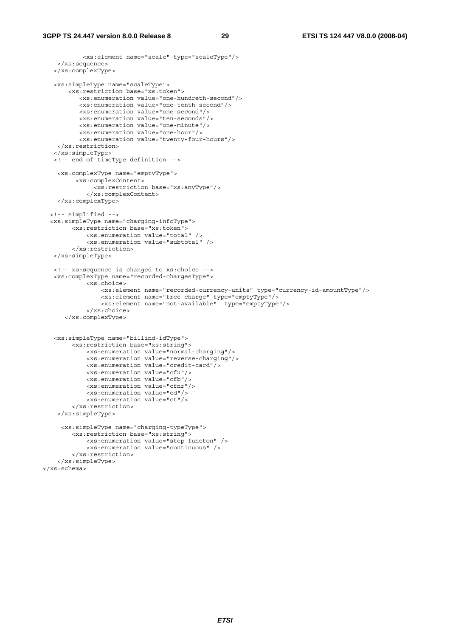```
 <xs:element name="scale" type="scaleType"/> 
     </xs:sequence> 
    </xs:complexType> 
    <xs:simpleType name="scaleType"> 
        <xs:restriction base="xs:token"> 
           <xs:enumeration value="one-hundreth-second"/> 
           <xs:enumeration value="one-tenth-second"/> 
           <xs:enumeration value="one-second"/> 
           <xs:enumeration value="ten-seconds"/> 
           <xs:enumeration value="one-minute"/> 
           <xs:enumeration value="one-hour"/> 
           <xs:enumeration value="twenty-four-hours"/> 
     </xs:restriction> 
    </xs:simpleType> 
    <!-- end of timeType definition --> 
     <xs:complexType name="emptyType"> 
          <xs:complexContent> 
               <xs:restriction base="xs:anyType"/> 
             </xs:complexContent> 
     </xs:complexType> 
   <!-- simplified --> 
   <xs:simpleType name="charging-infoType"> 
         <xs:restriction base="xs:token"> 
             <xs:enumeration value="total" /> 
             <xs:enumeration value="subtotal" /> 
         </xs:restriction> 
    </xs:simpleType> 
    <!-- xs:sequence is changed to xs:choice --> 
    <xs:complexType name="recorded-chargesType"> 
             <xs:choice> 
                  <xs:element name="recorded-currency-units" type="currency-id-amountType"/> 
                  <xs:element name="free-charge" type="emptyType"/> 
                  <xs:element name="not-available" type="emptyType"/> 
             </xs:choice> 
       </xs:complexType> 
    <xs:simpleType name="billind-idType"> 
         <xs:restriction base="xs:string"> 
             <xs:enumeration value="normal-charging"/> 
             <xs:enumeration value="reverse-charging"/> 
             <xs:enumeration value="credit-card"/> 
             <xs:enumeration value="cfu"/> 
             <xs:enumeration value="cfb"/> 
             <xs:enumeration value="cfnr"/> 
             <xs:enumeration value="cd"/> 
             <xs:enumeration value="ct"/> 
         </xs:restriction> 
     </xs:simpleType> 
      <xs:simpleType name="charging-typeType"> 
         <xs:restriction base="xs:string"> 
             <xs:enumeration value="step-functon" /> 
             <xs:enumeration value="continuous" /> 
         </xs:restriction> 
     </xs:simpleType> 
</xs:schema>
```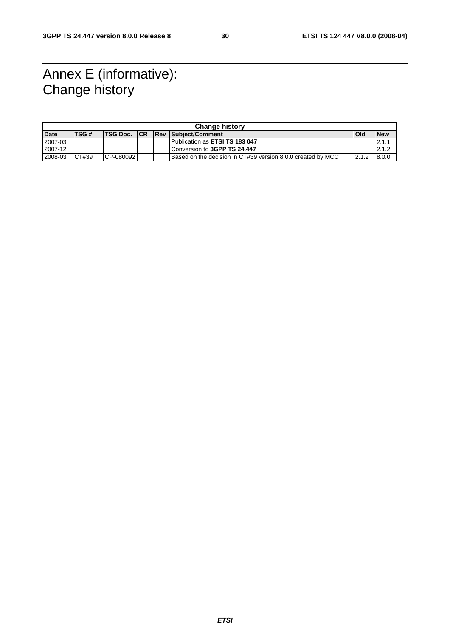# Annex E (informative): Change history

| <b>Change history</b> |        |                      |  |  |                                                             |       |            |  |  |
|-----------------------|--------|----------------------|--|--|-------------------------------------------------------------|-------|------------|--|--|
| <b>Date</b>           | TSG#   | <b>ITSG Doc. ICR</b> |  |  | <b>Rev Subiect/Comment</b>                                  | l Old | <b>New</b> |  |  |
| 2007-03               |        |                      |  |  | Publication as ETSI TS 183 047                              |       | 2.1.7      |  |  |
| 2007-12               |        |                      |  |  | Conversion to 3GPP TS 24.447                                |       | 12.1.2     |  |  |
| 2008-03               | ICT#39 | CP-080092            |  |  | Based on the decision in CT#39 version 8.0.0 created by MCC | 2.1.2 | 8.0.0      |  |  |